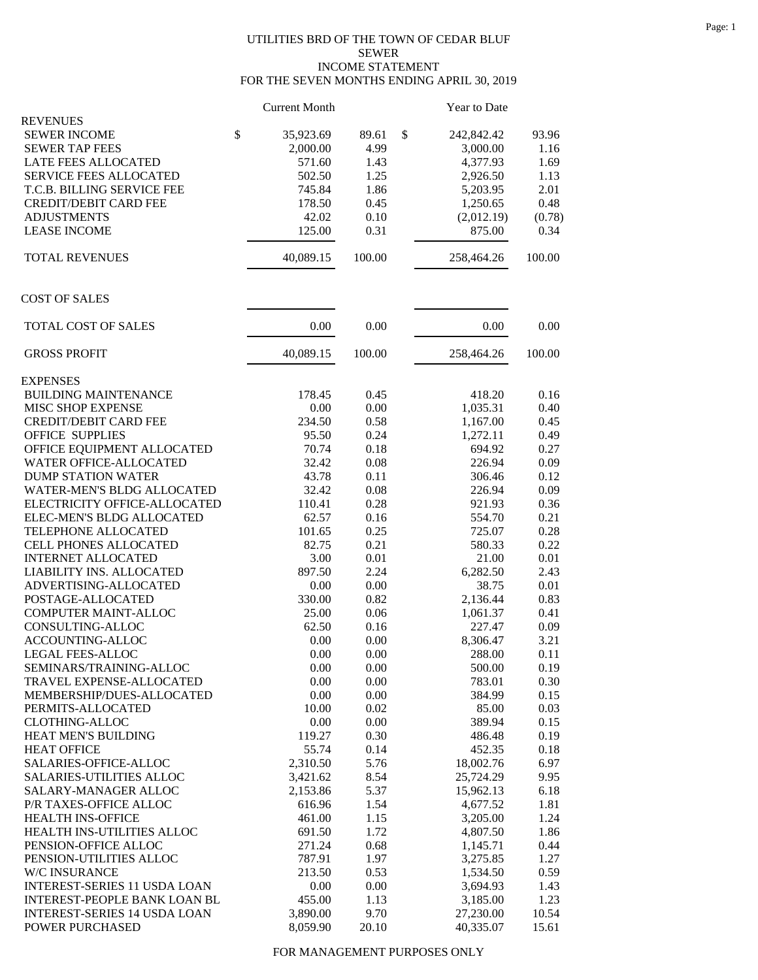## UTILITIES BRD OF THE TOWN OF CEDAR BLUF SEWER INCOME STATEMENT FOR THE SEVEN MONTHS ENDING APRIL 30, 2019

|                                     |               | <b>Current Month</b> |          | Year to Date     |        |
|-------------------------------------|---------------|----------------------|----------|------------------|--------|
| <b>REVENUES</b>                     |               |                      |          |                  |        |
| <b>SEWER INCOME</b>                 | $\mathsf{\$}$ | 35,923.69            | 89.61    | \$<br>242,842.42 | 93.96  |
| <b>SEWER TAP FEES</b>               |               | 2,000.00             | 4.99     | 3,000.00         | 1.16   |
| LATE FEES ALLOCATED                 |               | 571.60               | 1.43     | 4,377.93         | 1.69   |
| <b>SERVICE FEES ALLOCATED</b>       |               | 502.50               | 1.25     | 2,926.50         | 1.13   |
| T.C.B. BILLING SERVICE FEE          |               | 745.84               | 1.86     | 5,203.95         | 2.01   |
| <b>CREDIT/DEBIT CARD FEE</b>        |               | 178.50               | 0.45     | 1,250.65         | 0.48   |
| <b>ADJUSTMENTS</b>                  |               | 42.02                | 0.10     | (2,012.19)       | (0.78) |
| <b>LEASE INCOME</b>                 |               | 125.00               | 0.31     | 875.00           | 0.34   |
| <b>TOTAL REVENUES</b>               |               | 40,089.15            | 100.00   | 258,464.26       | 100.00 |
| <b>COST OF SALES</b>                |               |                      |          |                  |        |
| TOTAL COST OF SALES                 |               | 0.00                 | 0.00     | 0.00             | 0.00   |
| <b>GROSS PROFIT</b>                 |               | 40,089.15            | 100.00   | 258,464.26       | 100.00 |
| <b>EXPENSES</b>                     |               |                      |          |                  |        |
| <b>BUILDING MAINTENANCE</b>         |               | 178.45               | 0.45     | 418.20           | 0.16   |
| <b>MISC SHOP EXPENSE</b>            |               | 0.00                 | 0.00     | 1,035.31         | 0.40   |
| <b>CREDIT/DEBIT CARD FEE</b>        |               | 234.50               | 0.58     | 1,167.00         | 0.45   |
| <b>OFFICE SUPPLIES</b>              |               | 95.50                | 0.24     | 1,272.11         | 0.49   |
| OFFICE EQUIPMENT ALLOCATED          |               | 70.74                | 0.18     | 694.92           | 0.27   |
| WATER OFFICE-ALLOCATED              |               | 32.42                | 0.08     | 226.94           | 0.09   |
| <b>DUMP STATION WATER</b>           |               | 43.78                | 0.11     | 306.46           | 0.12   |
| WATER-MEN'S BLDG ALLOCATED          |               | 32.42                | 0.08     | 226.94           | 0.09   |
| ELECTRICITY OFFICE-ALLOCATED        |               | 110.41               | 0.28     | 921.93           | 0.36   |
|                                     |               |                      |          |                  | 0.21   |
| ELEC-MEN'S BLDG ALLOCATED           |               | 62.57                | 0.16     | 554.70           | 0.28   |
| TELEPHONE ALLOCATED                 |               | 101.65               | 0.25     | 725.07           |        |
| CELL PHONES ALLOCATED               |               | 82.75                | 0.21     | 580.33           | 0.22   |
| <b>INTERNET ALLOCATED</b>           |               | 3.00                 | 0.01     | 21.00            | 0.01   |
| LIABILITY INS. ALLOCATED            |               | 897.50               | 2.24     | 6,282.50         | 2.43   |
| ADVERTISING-ALLOCATED               |               | 0.00                 | 0.00     | 38.75            | 0.01   |
| POSTAGE-ALLOCATED                   |               | 330.00               | 0.82     | 2,136.44         | 0.83   |
| COMPUTER MAINT-ALLOC                |               | 25.00                | 0.06     | 1,061.37         | 0.41   |
| CONSULTING-ALLOC                    |               | 62.50                | 0.16     | 227.47           | 0.09   |
| <b>ACCOUNTING-ALLOC</b>             |               | 0.00                 | 0.00     | 8,306.47         | 3.21   |
| LEGAL FEES-ALLOC                    |               | $0.00\,$             | $0.00\,$ | 288.00           | 0.11   |
| SEMINARS/TRAINING-ALLOC             |               | 0.00                 | 0.00     | 500.00           | 0.19   |
| TRAVEL EXPENSE-ALLOCATED            |               | 0.00                 | 0.00     | 783.01           | 0.30   |
| MEMBERSHIP/DUES-ALLOCATED           |               | 0.00                 | 0.00     | 384.99           | 0.15   |
| PERMITS-ALLOCATED                   |               | 10.00                | 0.02     | 85.00            | 0.03   |
| <b>CLOTHING-ALLOC</b>               |               | 0.00                 | 0.00     | 389.94           | 0.15   |
| HEAT MEN'S BUILDING                 |               | 119.27               | 0.30     | 486.48           | 0.19   |
| <b>HEAT OFFICE</b>                  |               | 55.74                | 0.14     | 452.35           | 0.18   |
| SALARIES-OFFICE-ALLOC               |               | 2,310.50             | 5.76     | 18,002.76        | 6.97   |
| SALARIES-UTILITIES ALLOC            |               | 3,421.62             | 8.54     | 25,724.29        | 9.95   |
| SALARY-MANAGER ALLOC                |               | 2,153.86             | 5.37     | 15,962.13        | 6.18   |
| P/R TAXES-OFFICE ALLOC              |               | 616.96               | 1.54     | 4,677.52         | 1.81   |
| HEALTH INS-OFFICE                   |               | 461.00               | 1.15     | 3,205.00         | 1.24   |
| HEALTH INS-UTILITIES ALLOC          |               | 691.50               | 1.72     | 4,807.50         | 1.86   |
| PENSION-OFFICE ALLOC                |               | 271.24               | 0.68     | 1,145.71         | 0.44   |
| PENSION-UTILITIES ALLOC             |               | 787.91               | 1.97     | 3,275.85         | 1.27   |
| W/C INSURANCE                       |               | 213.50               | 0.53     | 1,534.50         | 0.59   |
| <b>INTEREST-SERIES 11 USDA LOAN</b> |               | 0.00                 | 0.00     | 3,694.93         | 1.43   |
| <b>INTEREST-PEOPLE BANK LOAN BL</b> |               | 455.00               | 1.13     | 3,185.00         | 1.23   |
| <b>INTEREST-SERIES 14 USDA LOAN</b> |               | 3,890.00             | 9.70     | 27,230.00        | 10.54  |
| POWER PURCHASED                     |               | 8,059.90             | 20.10    | 40,335.07        | 15.61  |
|                                     |               |                      |          |                  |        |

FOR MANAGEMENT PURPOSES ONLY